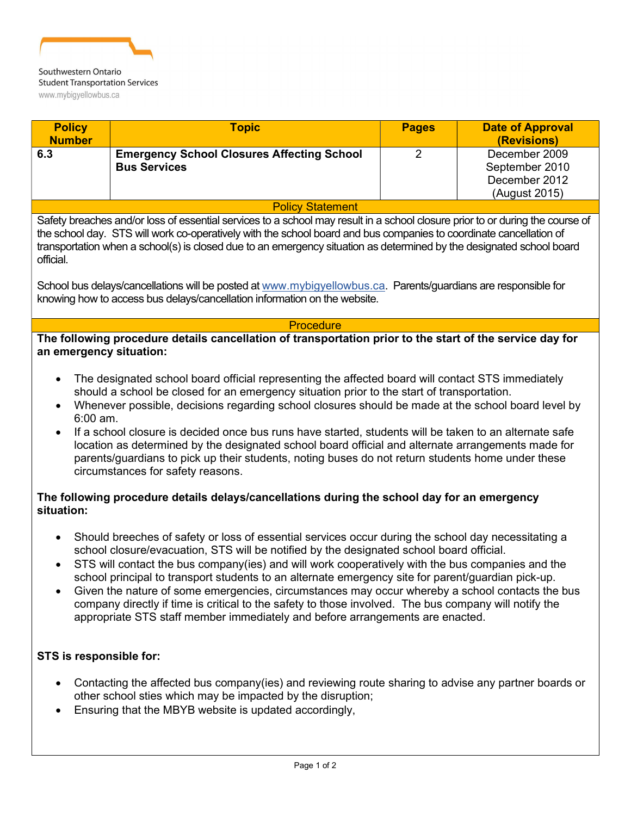

## **Student Transportation Services** www.mybigyellowbus.ca

| <b>Policy</b><br><b>Number</b>                                                                                                                                                                                                                                                                                                                                                                                                                                                                                                                                                                                                                                                                                                                                                                                                                            | <b>Topic</b>                                                             | <b>Pages</b>   | <b>Date of Approval</b><br>(Revisions)                            |
|-----------------------------------------------------------------------------------------------------------------------------------------------------------------------------------------------------------------------------------------------------------------------------------------------------------------------------------------------------------------------------------------------------------------------------------------------------------------------------------------------------------------------------------------------------------------------------------------------------------------------------------------------------------------------------------------------------------------------------------------------------------------------------------------------------------------------------------------------------------|--------------------------------------------------------------------------|----------------|-------------------------------------------------------------------|
| 6.3                                                                                                                                                                                                                                                                                                                                                                                                                                                                                                                                                                                                                                                                                                                                                                                                                                                       | <b>Emergency School Closures Affecting School</b><br><b>Bus Services</b> | $\overline{2}$ | December 2009<br>September 2010<br>December 2012<br>(August 2015) |
| <b>Policy Statement</b>                                                                                                                                                                                                                                                                                                                                                                                                                                                                                                                                                                                                                                                                                                                                                                                                                                   |                                                                          |                |                                                                   |
| Safety breaches and/or loss of essential services to a school may result in a school closure prior to or during the course of<br>the school day. STS will work co-operatively with the school board and bus companies to coordinate cancellation of<br>transportation when a school(s) is closed due to an emergency situation as determined by the designated school board<br>official.                                                                                                                                                                                                                                                                                                                                                                                                                                                                  |                                                                          |                |                                                                   |
| School bus delays/cancellations will be posted at www.mybigyellowbus.ca. Parents/guardians are responsible for<br>knowing how to access bus delays/cancellation information on the website.                                                                                                                                                                                                                                                                                                                                                                                                                                                                                                                                                                                                                                                               |                                                                          |                |                                                                   |
| <b>Procedure</b>                                                                                                                                                                                                                                                                                                                                                                                                                                                                                                                                                                                                                                                                                                                                                                                                                                          |                                                                          |                |                                                                   |
| The following procedure details cancellation of transportation prior to the start of the service day for<br>an emergency situation:<br>The designated school board official representing the affected board will contact STS immediately<br>$\bullet$<br>should a school be closed for an emergency situation prior to the start of transportation.<br>Whenever possible, decisions regarding school closures should be made at the school board level by<br>$\bullet$<br>6:00 am.<br>If a school closure is decided once bus runs have started, students will be taken to an alternate safe<br>$\bullet$<br>location as determined by the designated school board official and alternate arrangements made for<br>parents/guardians to pick up their students, noting buses do not return students home under these<br>circumstances for safety reasons. |                                                                          |                |                                                                   |
| The following procedure details delays/cancellations during the school day for an emergency<br>situation:                                                                                                                                                                                                                                                                                                                                                                                                                                                                                                                                                                                                                                                                                                                                                 |                                                                          |                |                                                                   |
| Should breeches of safety or loss of essential services occur during the school day necessitating a<br>$\bullet$<br>school closure/evacuation, STS will be notified by the designated school board official.<br>STS will contact the bus company(ies) and will work cooperatively with the bus companies and the<br>$\bullet$<br>school principal to transport students to an alternate emergency site for parent/guardian pick-up<br>Given the nature of some emergencies, circumstances may occur whereby a school contacts the bus<br>$\bullet$<br>company directly if time is critical to the safety to those involved. The bus company will notify the<br>appropriate STS staff member immediately and before arrangements are enacted.                                                                                                              |                                                                          |                |                                                                   |
| STS is responsible for:                                                                                                                                                                                                                                                                                                                                                                                                                                                                                                                                                                                                                                                                                                                                                                                                                                   |                                                                          |                |                                                                   |

- Contacting the affected bus company(ies) and reviewing route sharing to advise any partner boards or other school sties which may be impacted by the disruption;
- Ensuring that the MBYB website is updated accordingly,